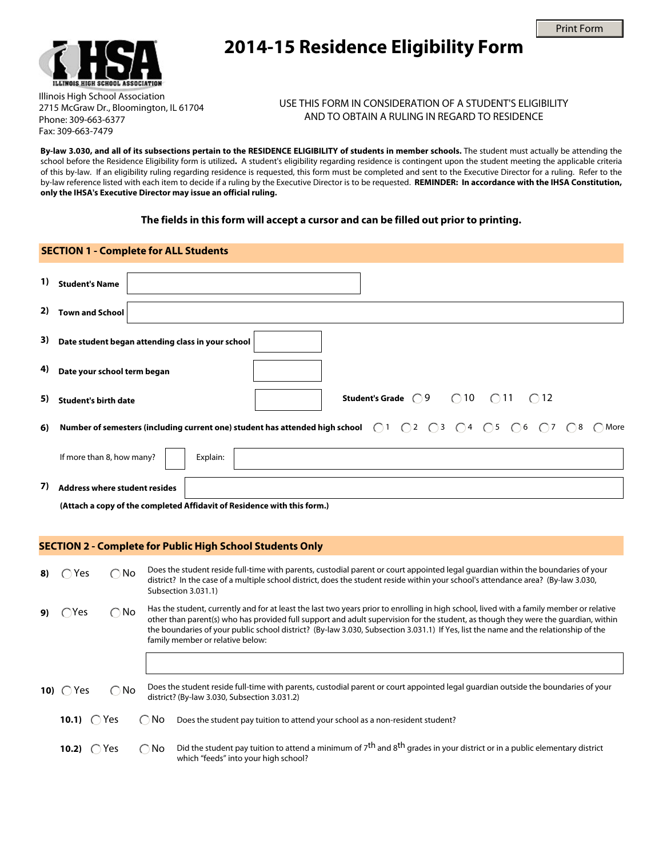



# **2014-15 Residence Eligibility Form**

Illinois High School Association 2715 McGraw Dr., Bloomington, IL 61704 Phone: 309-663-6377 Fax: 309-663-7479

### USE THIS FORM IN CONSIDERATION OF A STUDENT'S ELIGIBILITY AND TO OBTAIN A RULING IN REGARD TO RESIDENCE

**By-law 3.030, and all of its subsections pertain to the RESIDENCE ELIGIBILITY of students in member schools.** The student must actually be attending the school before the Residence Eligibility form is utilized**.** A student's eligibility regarding residence is contingent upon the student meeting the applicable criteria of this by-law. If an eligibility ruling regarding residence is requested, this form must be completed and sent to the Executive Director for a ruling. Refer to the by-law reference listed with each item to decide if a ruling by the Executive Director is to be requested. **REMINDER: In accordance with the IHSA Constitution, only the IHSA's Executive Director may issue an official ruling.**

#### **The fields in this form will accept a cursor and can be filled out prior to printing.**

# **SECTION 1 - Complete for ALL Students 1) Student's Name Student's Grade**  $\bigcirc$  9  $\bigcirc$  10  $\bigcirc$  11  $\bigcirc$  12 **2) Town and School SECTION 2 - Complete for Public High School Students Only**  $\bigcap$  Yes  $\bigcap$  No  $\bigcap$ Yes  $\bigcap$ No **10)**  $\bigcap$  Yes  $\bigcap$  No **6)** Number of semesters (including current one) student has attended high school  $\bigcirc$ 1  $\bigcirc$ 2  $\bigcirc$ 3  $\bigcirc$ 4  $\bigcirc$ 5  $\bigcirc$ 6  $\bigcirc$ 7  $\bigcirc$ 8  $\bigcirc$  More **3) Date student began attending class in your school 4) Date your school term began 5) Student's birth date** If more than 8, how many? | Explain: **7) Address where student resides (Attach a copy of the completed Affidavit of Residence with this form.)** 8)  $\bigcap$  Yes  $\bigcap$  No Does the student reside full-time with parents, custodial parent or court appointed legal guardian within the boundaries of your district? In the case of a multiple school district, does the student reside within your school's attendance area? (By-law 3.030, Subsection 3.031.1) **9)**  $\bigcap$  Yes  $\bigcap$  No Has the student, currently and for at least the last two years prior to enrolling in high school, lived with a family member or relative other than parent(s) who has provided full support and adult supervision for the student, as though they were the guardian, within the boundaries of your public school district? (By-law 3.030, Subsection 3.031.1) If Yes, list the name and the relationship of the family member or relative below: **10)** Does the student reside full-time with parents, custodial parent or court appointed legal guardian outside the boundaries of your district? (By-law 3.030, Subsection 3.031.2)

| <b>10.1)</b> $\bigcirc$ Yes |  | $\bigcirc$ No $\bigcirc$ Does the student pay tuition to attend your school as a non-resident student? |
|-----------------------------|--|--------------------------------------------------------------------------------------------------------|
|-----------------------------|--|--------------------------------------------------------------------------------------------------------|

10.2)  $\bigcap$  Yes  $\bigcap$  No **10.2)** Did the student pay tuition to attend a minimum of 7th and 8th grades in your district or in a public elementary district which "feeds" into your high school?